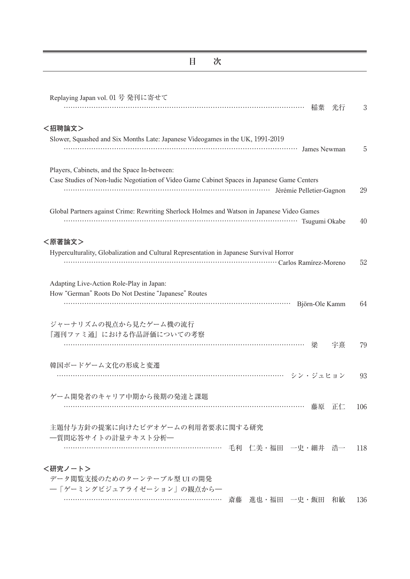## **目 次**

-

| Replaying Japan vol. 01 号 発刊に寄せて                                                            |     |
|---------------------------------------------------------------------------------------------|-----|
| 稲葉<br>光行                                                                                    | 3   |
| <招聘論文>                                                                                      |     |
| Slower, Squashed and Six Months Late: Japanese Videogames in the UK, 1991-2019              |     |
| Tames Newman James Newman                                                                   | 5   |
| Players, Cabinets, and the Space In-between:                                                |     |
| Case Studies of Non-ludic Negotiation of Video Game Cabinet Spaces in Japanese Game Centers |     |
| Térémie Pelletier-Gagnon                                                                    | 29  |
| Global Partners against Crime: Rewriting Sherlock Holmes and Watson in Japanese Video Games |     |
| Tsugumi Okabe                                                                               | 40  |
| <原著論文>                                                                                      |     |
| Hyperculturality, Globalization and Cultural Representation in Japanese Survival Horror     |     |
| carlos Ramírez-Moreno                                                                       | 52  |
| Adapting Live-Action Role-Play in Japan:                                                    |     |
| How "German" Roots Do Not Destine "Japanese" Routes                                         |     |
| Björn-Ole Kamm                                                                              | 64  |
| ジャーナリズムの視点から見たゲーム機の流行                                                                       |     |
| 『週刊ファミ通』における作品評価についての考察                                                                     |     |
| 梁<br>宇熹                                                                                     | 79  |
| 韓国ボードゲーム文化の形成と変遷                                                                            |     |
|                                                                                             | 93  |
| ゲーム開発者のキャリア中期から後期の発達と課題                                                                     |     |
| 藤原 正仁                                                                                       | 106 |
| 主題付与方針の提案に向けたビデオゲームの利用者要求に関する研究                                                             |     |
| 一質問応答サイトの計量テキスト分析–                                                                          |     |
| 毛利 仁美・福田 一史・細井 浩一                                                                           | 118 |
| <研究ノート>                                                                                     |     |
| データ閲覧支援のためのターンテーブル型 UI の開発                                                                  |     |
| 一「ゲーミングビジュアライゼーション」の観点から一                                                                   |     |

…………………………………………………………… 斎藤 進也・福田 一史・飯田 和敏 136